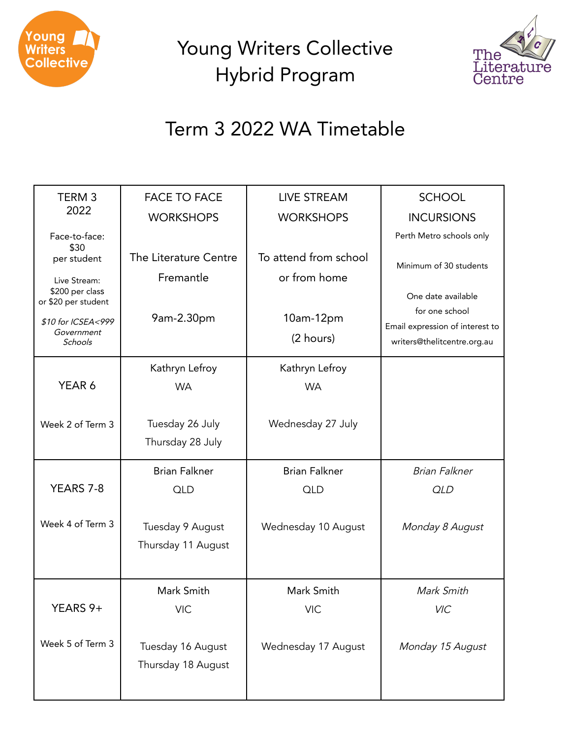

Young Writers Collective Hybrid Program



## Term 3 2022 WA Timetable

| TERM <sub>3</sub>                                      | <b>FACE TO FACE</b>                | <b>LIVE STREAM</b>                    | <b>SCHOOL</b>                                                  |  |
|--------------------------------------------------------|------------------------------------|---------------------------------------|----------------------------------------------------------------|--|
| 2022                                                   | <b>WORKSHOPS</b>                   | <b>WORKSHOPS</b>                      | <b>INCURSIONS</b>                                              |  |
| Face-to-face:                                          |                                    |                                       | Perth Metro schools only                                       |  |
| \$30<br>per student                                    | The Literature Centre<br>Fremantle | To attend from school<br>or from home | Minimum of 30 students                                         |  |
| Live Stream:<br>\$200 per class<br>or \$20 per student |                                    |                                       | One date available<br>for one school                           |  |
| \$10 for ICSEA<999<br>Government<br><b>Schools</b>     | 9am-2.30pm                         | 10am-12pm<br>(2 hours)                | Email expression of interest to<br>writers@thelitcentre.org.au |  |
|                                                        | Kathryn Lefroy                     | Kathryn Lefroy                        |                                                                |  |
| YEAR 6                                                 | <b>WA</b>                          | <b>WA</b>                             |                                                                |  |
|                                                        |                                    |                                       |                                                                |  |
| Week 2 of Term 3                                       | Tuesday 26 July                    | Wednesday 27 July                     |                                                                |  |
|                                                        | Thursday 28 July                   |                                       |                                                                |  |
|                                                        | <b>Brian Falkner</b>               | <b>Brian Falkner</b>                  | <b>Brian Falkner</b>                                           |  |
| YEARS 7-8                                              | <b>QLD</b>                         | <b>QLD</b>                            | <b>QLD</b>                                                     |  |
|                                                        |                                    |                                       |                                                                |  |
| Week 4 of Term 3                                       | Tuesday 9 August                   | Wednesday 10 August                   | Monday 8 August                                                |  |
|                                                        | Thursday 11 August                 |                                       |                                                                |  |
|                                                        |                                    |                                       |                                                                |  |
|                                                        | Mark Smith                         | Mark Smith                            | Mark Smith                                                     |  |
| YEARS 9+                                               | <b>VIC</b>                         | <b>VIC</b>                            | VIC                                                            |  |
|                                                        |                                    |                                       |                                                                |  |
| Week 5 of Term 3                                       | Tuesday 16 August                  | Wednesday 17 August                   | Monday 15 August                                               |  |
|                                                        | Thursday 18 August                 |                                       |                                                                |  |
|                                                        |                                    |                                       |                                                                |  |